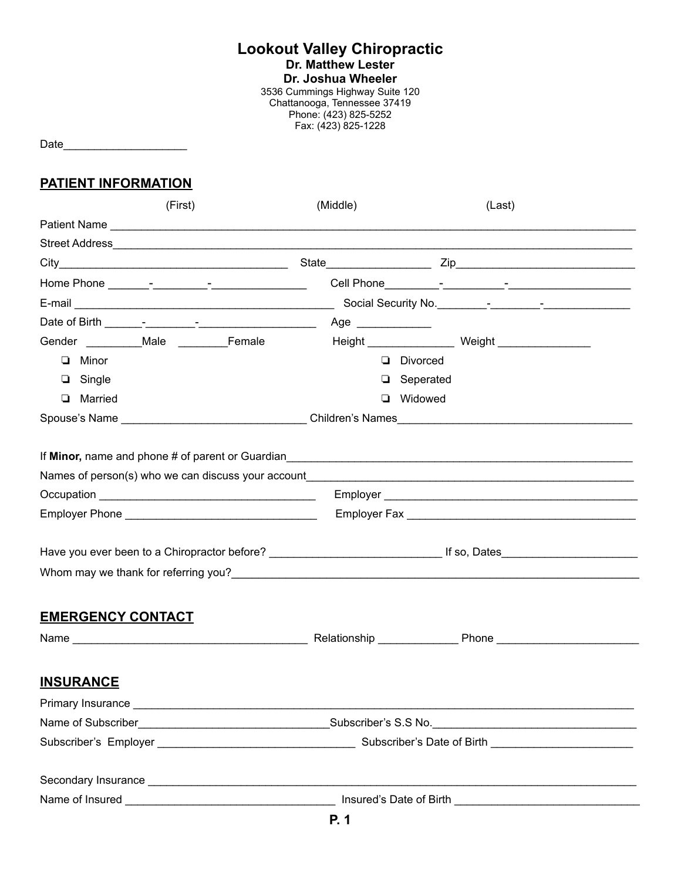#### **Lookout Valley Chiropractic**

**Dr. Matthew Lester**

**Dr. Joshua Wheeler**

3536 Cummings Highway Suite 120 Chattanooga, Tennessee 37419 Phone: (423) 825-5252 Fax: (423) 825-1228

Date

#### **PATIENT INFORMATION**

| (First)                                                                                                          | (Middle)          | (Last)                                                                                                                                                                                                                               |  |  |  |  |
|------------------------------------------------------------------------------------------------------------------|-------------------|--------------------------------------------------------------------------------------------------------------------------------------------------------------------------------------------------------------------------------------|--|--|--|--|
|                                                                                                                  |                   |                                                                                                                                                                                                                                      |  |  |  |  |
|                                                                                                                  |                   |                                                                                                                                                                                                                                      |  |  |  |  |
|                                                                                                                  |                   |                                                                                                                                                                                                                                      |  |  |  |  |
|                                                                                                                  |                   |                                                                                                                                                                                                                                      |  |  |  |  |
|                                                                                                                  |                   |                                                                                                                                                                                                                                      |  |  |  |  |
|                                                                                                                  | Age _____________ |                                                                                                                                                                                                                                      |  |  |  |  |
|                                                                                                                  |                   |                                                                                                                                                                                                                                      |  |  |  |  |
| $\Box$ Minor                                                                                                     | Divorced          |                                                                                                                                                                                                                                      |  |  |  |  |
| $\Box$ Single                                                                                                    | $\Box$ Seperated  |                                                                                                                                                                                                                                      |  |  |  |  |
| <b>Q</b> Married                                                                                                 | <b>Q</b> Widowed  |                                                                                                                                                                                                                                      |  |  |  |  |
|                                                                                                                  |                   |                                                                                                                                                                                                                                      |  |  |  |  |
| Names of person(s) who we can discuss your account example and all the state of person of person of the state of |                   |                                                                                                                                                                                                                                      |  |  |  |  |
|                                                                                                                  |                   |                                                                                                                                                                                                                                      |  |  |  |  |
|                                                                                                                  |                   |                                                                                                                                                                                                                                      |  |  |  |  |
|                                                                                                                  |                   | Have you ever been to a Chiropractor before?<br>Lates interval of the set of the set of the set of the set of the set of the set of the set of the set of the                                                                        |  |  |  |  |
|                                                                                                                  |                   |                                                                                                                                                                                                                                      |  |  |  |  |
| <b>EMERGENCY CONTACT</b>                                                                                         |                   |                                                                                                                                                                                                                                      |  |  |  |  |
|                                                                                                                  |                   |                                                                                                                                                                                                                                      |  |  |  |  |
| <b>INSURANCE</b>                                                                                                 |                   |                                                                                                                                                                                                                                      |  |  |  |  |
| Primary Insurance                                                                                                |                   |                                                                                                                                                                                                                                      |  |  |  |  |
|                                                                                                                  |                   | Name of Subscriber <b>Exercise Contract Contract Contract Contract Contract Contract Contract Contract Contract Contract Contract Contract Contract Contract Contract Contract Contract Contract Contract Contract Contract Cont</b> |  |  |  |  |
|                                                                                                                  |                   |                                                                                                                                                                                                                                      |  |  |  |  |
|                                                                                                                  |                   |                                                                                                                                                                                                                                      |  |  |  |  |
|                                                                                                                  |                   |                                                                                                                                                                                                                                      |  |  |  |  |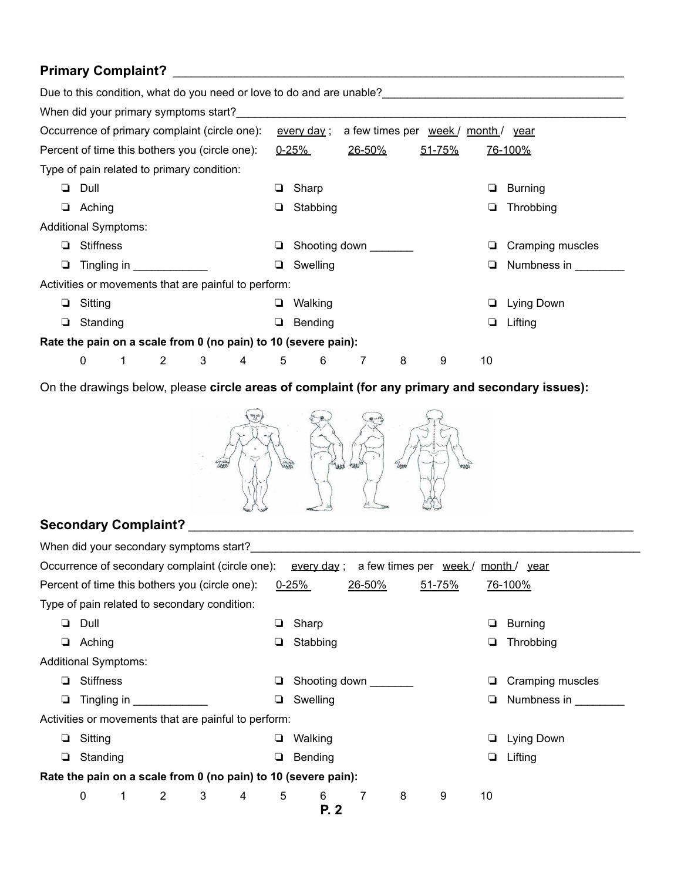#### **Primary Complaint?** \_\_\_\_\_\_\_\_\_\_\_\_\_\_\_\_\_\_\_\_\_\_\_\_\_\_\_\_\_\_\_\_\_\_\_\_\_\_\_\_\_\_\_\_\_\_\_\_\_\_\_\_\_\_\_\_\_\_\_\_\_\_\_\_\_\_\_\_\_\_\_\_\_

|                                                                |                  |  |                       |                                                |                |   |                    |                                     |   |        |    | Due to this condition, what do you need or love to do and are unable? |
|----------------------------------------------------------------|------------------|--|-----------------------|------------------------------------------------|----------------|---|--------------------|-------------------------------------|---|--------|----|-----------------------------------------------------------------------|
|                                                                |                  |  |                       | When did your primary symptoms start?          |                |   |                    |                                     |   |        |    |                                                                       |
|                                                                |                  |  |                       | Occurrence of primary complaint (circle one):  |                |   | <u>every day</u> ; | a few times per week / month / year |   |        |    |                                                                       |
|                                                                |                  |  |                       | Percent of time this bothers you (circle one): |                |   | $0 - 25%$          | 26-50%                              |   | 51-75% |    | 76-100%                                                               |
|                                                                |                  |  |                       | Type of pain related to primary condition:     |                |   |                    |                                     |   |        |    |                                                                       |
| ▫                                                              | Dull             |  |                       |                                                |                | □ | Sharp              |                                     |   |        | ❏  | Burning                                                               |
| ❏                                                              | Aching           |  |                       |                                                |                | ❏ | Stabbing           |                                     |   |        | ⊔  | Throbbing                                                             |
| <b>Additional Symptoms:</b>                                    |                  |  |                       |                                                |                |   |                    |                                     |   |        |    |                                                                       |
| ❏                                                              | <b>Stiffness</b> |  |                       |                                                |                |   | Shooting down      |                                     |   |        | ⊔  | Cramping muscles                                                      |
| ❏                                                              |                  |  | Tingling in Tingling  |                                                |                | □ | Swelling           |                                     |   |        | ▫  | Numbness in                                                           |
| Activities or movements that are painful to perform:           |                  |  |                       |                                                |                |   |                    |                                     |   |        |    |                                                                       |
| □                                                              | Sitting          |  |                       |                                                |                | ❏ | Walking            |                                     |   |        | ⊔  | Lying Down                                                            |
| ❏                                                              | Standing         |  |                       |                                                |                | ❏ | Bending            |                                     |   |        | ❏  | Lifting                                                               |
| Rate the pain on a scale from 0 (no pain) to 10 (severe pain): |                  |  |                       |                                                |                |   |                    |                                     |   |        |    |                                                                       |
|                                                                | $\mathbf{0}$     |  | $\mathbf{2}^{\prime}$ | 3                                              | $\overline{4}$ | 5 | 6                  | 7                                   | 8 | 9      | 10 |                                                                       |

On the drawings below, please **circle areas of complaint (for any primary and secondary issues):**



#### **Secondary Complaint?** \_\_\_\_\_\_\_\_\_\_\_\_\_\_\_\_\_\_\_\_\_\_\_\_\_\_\_\_\_\_\_\_\_\_\_\_\_\_\_\_\_\_\_\_\_\_\_\_\_\_\_\_\_\_\_\_\_\_\_\_\_\_\_\_\_\_\_\_\_\_\_\_

| When did your secondary symptoms start?                                                                               |                             |                      |                |  |                       |   |               |                |   |   |    |                  |
|-----------------------------------------------------------------------------------------------------------------------|-----------------------------|----------------------|----------------|--|-----------------------|---|---------------|----------------|---|---|----|------------------|
| Occurrence of secondary complaint (circle one):<br><u>every day</u> ;<br>a few times per week/<br><u>month / year</u> |                             |                      |                |  |                       |   |               |                |   |   |    |                  |
| Percent of time this bothers you (circle one):<br>$0 - 25%$<br>26-50%<br>51-75%<br>76-100%                            |                             |                      |                |  |                       |   |               |                |   |   |    |                  |
| Type of pain related to secondary condition:                                                                          |                             |                      |                |  |                       |   |               |                |   |   |    |                  |
| o.                                                                                                                    |                             | Dull                 |                |  |                       | ❏ | Sharp         |                |   |   |    | Burning          |
| ❏                                                                                                                     |                             | Aching               |                |  |                       | ❏ | Stabbing      |                |   |   | ❏  | Throbbing        |
|                                                                                                                       | <b>Additional Symptoms:</b> |                      |                |  |                       |   |               |                |   |   |    |                  |
| ❏                                                                                                                     |                             | <b>Stiffness</b>     |                |  |                       | ⊔ | Shooting down |                |   |   |    | Cramping muscles |
| ❏                                                                                                                     |                             | Tingling in Tingling |                |  |                       |   | Swelling      |                |   |   | ❏  | Numbness in      |
| Activities or movements that are painful to perform:                                                                  |                             |                      |                |  |                       |   |               |                |   |   |    |                  |
| ⊔                                                                                                                     |                             | Sitting              |                |  |                       | ❏ | Walking       |                |   |   | ❏  | Lying Down       |
| ❏                                                                                                                     |                             | Standing             |                |  |                       | ❏ | Bending       |                |   |   | ❏  | Lifting          |
| Rate the pain on a scale from 0 (no pain) to 10 (severe pain):                                                        |                             |                      |                |  |                       |   |               |                |   |   |    |                  |
|                                                                                                                       | 0                           |                      | $\overline{2}$ |  | $3 \qquad 4 \qquad 5$ |   | 6             | $\overline{7}$ | 8 | 9 | 10 |                  |
|                                                                                                                       | P.2                         |                      |                |  |                       |   |               |                |   |   |    |                  |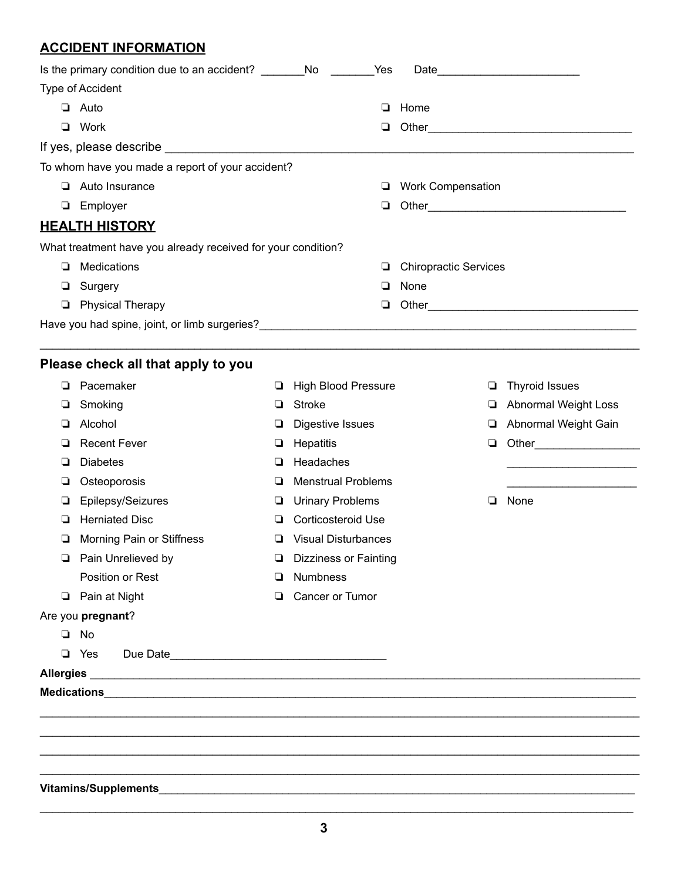### **ACCIDENT INFORMATION**

|                  | Is the primary condition due to an accident? ___________________________________ |   | Yes                        |                              |                                                                                                                       |  |  |
|------------------|----------------------------------------------------------------------------------|---|----------------------------|------------------------------|-----------------------------------------------------------------------------------------------------------------------|--|--|
| Type of Accident |                                                                                  |   |                            |                              |                                                                                                                       |  |  |
|                  | $\Box$ Auto                                                                      |   | ❏                          | Home                         |                                                                                                                       |  |  |
|                  | <b>Q</b> Work                                                                    |   | ❏                          | Other_                       | <u> 1989 - Johann Barbara, martxa alemaniar amerikan basar da da a shekara a shekara a shekara a shekara a shekar</u> |  |  |
|                  |                                                                                  |   |                            |                              |                                                                                                                       |  |  |
|                  | To whom have you made a report of your accident?                                 |   |                            |                              |                                                                                                                       |  |  |
|                  | $\Box$ Auto Insurance                                                            |   | ⊔                          | <b>Work Compensation</b>     |                                                                                                                       |  |  |
| ❏                | Employer                                                                         |   | ❏                          |                              |                                                                                                                       |  |  |
|                  | <u>HEALTH HISTORY</u>                                                            |   |                            |                              |                                                                                                                       |  |  |
|                  | What treatment have you already received for your condition?                     |   |                            |                              |                                                                                                                       |  |  |
| ❏                | Medications                                                                      |   | ⊔                          | <b>Chiropractic Services</b> |                                                                                                                       |  |  |
| ⊔                | Surgery                                                                          |   | ❏                          | None                         |                                                                                                                       |  |  |
| □                | <b>Physical Therapy</b>                                                          |   | Q.                         |                              |                                                                                                                       |  |  |
|                  |                                                                                  |   |                            |                              |                                                                                                                       |  |  |
|                  |                                                                                  |   |                            |                              |                                                                                                                       |  |  |
|                  | Please check all that apply to you                                               |   |                            |                              |                                                                                                                       |  |  |
| ▫                | Pacemaker                                                                        | ⊔ | <b>High Blood Pressure</b> | ◘                            | <b>Thyroid Issues</b>                                                                                                 |  |  |
| ⊔                | Smoking                                                                          | ❏ | <b>Stroke</b>              | ❏                            | Abnormal Weight Loss                                                                                                  |  |  |
| ❏                | Alcohol                                                                          | ⊔ | Digestive Issues           | ❏                            | Abnormal Weight Gain                                                                                                  |  |  |
| ⊔                | <b>Recent Fever</b>                                                              | ❏ | Hepatitis                  | $\Box$                       |                                                                                                                       |  |  |
| ❏                | <b>Diabetes</b>                                                                  | ❏ | Headaches                  |                              |                                                                                                                       |  |  |
| ⊔                | Osteoporosis                                                                     | ❏ | <b>Menstrual Problems</b>  |                              |                                                                                                                       |  |  |
| ❏                | Epilepsy/Seizures                                                                | ⊔ | <b>Urinary Problems</b>    | ❏                            | None                                                                                                                  |  |  |
| ⊔                | <b>Herniated Disc</b>                                                            | ⊔ | <b>Corticosteroid Use</b>  |                              |                                                                                                                       |  |  |
| ❏                | Morning Pain or Stiffness                                                        | ❏ | <b>Visual Disturbances</b> |                              |                                                                                                                       |  |  |
|                  | <b>D</b> Pain Unrelieved by                                                      |   | Dizziness or Fainting      |                              |                                                                                                                       |  |  |
|                  | Position or Rest                                                                 | ❏ | <b>Numbness</b>            |                              |                                                                                                                       |  |  |
|                  | <b>D</b> Pain at Night                                                           | ▫ | Cancer or Tumor            |                              |                                                                                                                       |  |  |
|                  | Are you pregnant?                                                                |   |                            |                              |                                                                                                                       |  |  |
|                  | $\Box$ No                                                                        |   |                            |                              |                                                                                                                       |  |  |
|                  | $\Box$ Yes                                                                       |   |                            |                              |                                                                                                                       |  |  |
|                  |                                                                                  |   |                            |                              |                                                                                                                       |  |  |
|                  |                                                                                  |   |                            |                              |                                                                                                                       |  |  |
|                  |                                                                                  |   |                            |                              |                                                                                                                       |  |  |
|                  |                                                                                  |   |                            |                              |                                                                                                                       |  |  |
|                  |                                                                                  |   |                            |                              |                                                                                                                       |  |  |
|                  |                                                                                  |   |                            |                              |                                                                                                                       |  |  |

 $\_$  ,  $\_$  ,  $\_$  ,  $\_$  ,  $\_$  ,  $\_$  ,  $\_$  ,  $\_$  ,  $\_$  ,  $\_$  ,  $\_$  ,  $\_$  ,  $\_$  ,  $\_$  ,  $\_$  ,  $\_$  ,  $\_$  ,  $\_$  ,  $\_$  ,  $\_$  ,  $\_$  ,  $\_$  ,  $\_$  ,  $\_$  ,  $\_$  ,  $\_$  ,  $\_$  ,  $\_$  ,  $\_$  ,  $\_$  ,  $\_$  ,  $\_$  ,  $\_$  ,  $\_$  ,  $\_$  ,  $\_$  ,  $\_$  ,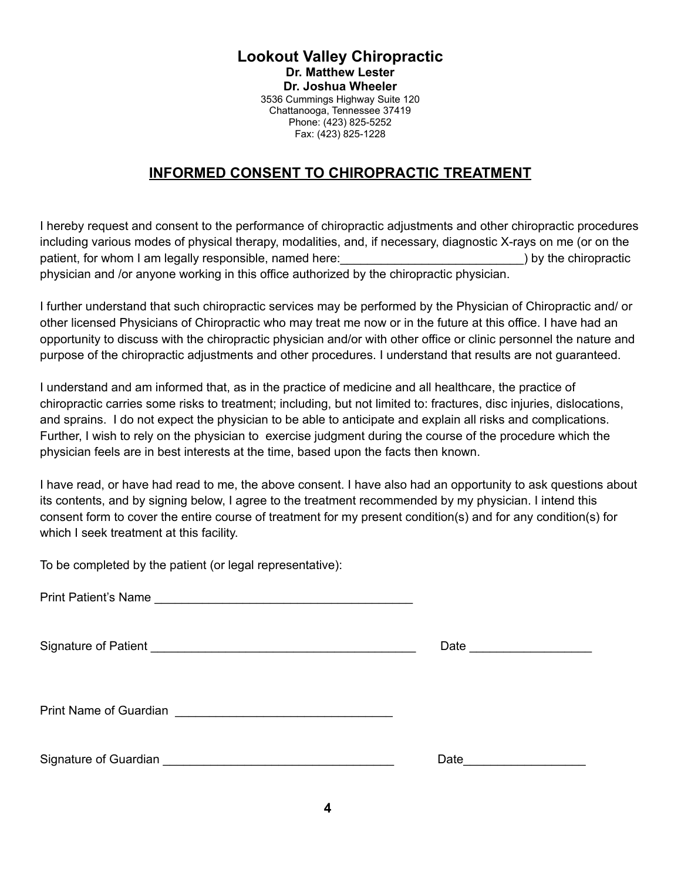#### **Lookout Valley Chiropractic Dr. Matthew Lester Dr. Joshua Wheeler** 3536 Cummings Highway Suite 120 Chattanooga, Tennessee 37419 Phone: (423) 825-5252 Fax: (423) 825-1228

#### **INFORMED CONSENT TO CHIROPRACTIC TREATMENT**

I hereby request and consent to the performance of chiropractic adjustments and other chiropractic procedures including various modes of physical therapy, modalities, and, if necessary, diagnostic X-rays on me (or on the patient, for whom I am legally responsible, named here: example the chiropractic by the chiropractic physician and /or anyone working in this office authorized by the chiropractic physician.

I further understand that such chiropractic services may be performed by the Physician of Chiropractic and/ or other licensed Physicians of Chiropractic who may treat me now or in the future at this office. I have had an opportunity to discuss with the chiropractic physician and/or with other office or clinic personnel the nature and purpose of the chiropractic adjustments and other procedures. I understand that results are not guaranteed.

I understand and am informed that, as in the practice of medicine and all healthcare, the practice of chiropractic carries some risks to treatment; including, but not limited to: fractures, disc injuries, dislocations, and sprains. I do not expect the physician to be able to anticipate and explain all risks and complications. Further, I wish to rely on the physician to exercise judgment during the course of the procedure which the physician feels are in best interests at the time, based upon the facts then known.

I have read, or have had read to me, the above consent. I have also had an opportunity to ask questions about its contents, and by signing below, I agree to the treatment recommended by my physician. I intend this consent form to cover the entire course of treatment for my present condition(s) and for any condition(s) for which I seek treatment at this facility.

To be completed by the patient (or legal representative):

| <b>Print Patient's Name</b> |  |  |
|-----------------------------|--|--|
|-----------------------------|--|--|

Signature of Patient **All and Struck and Struck and Struck and Struck and Struck and Struck and Struck and Struck** 

Print Name of Guardian **Lation** 

Signature of Guardian **Date** of Guardian **and Contract and Contract and Contract and Contract and Contract and Contract and Contract and Contract and Contract and Contract and Contract and Contract and Contract and Contrac**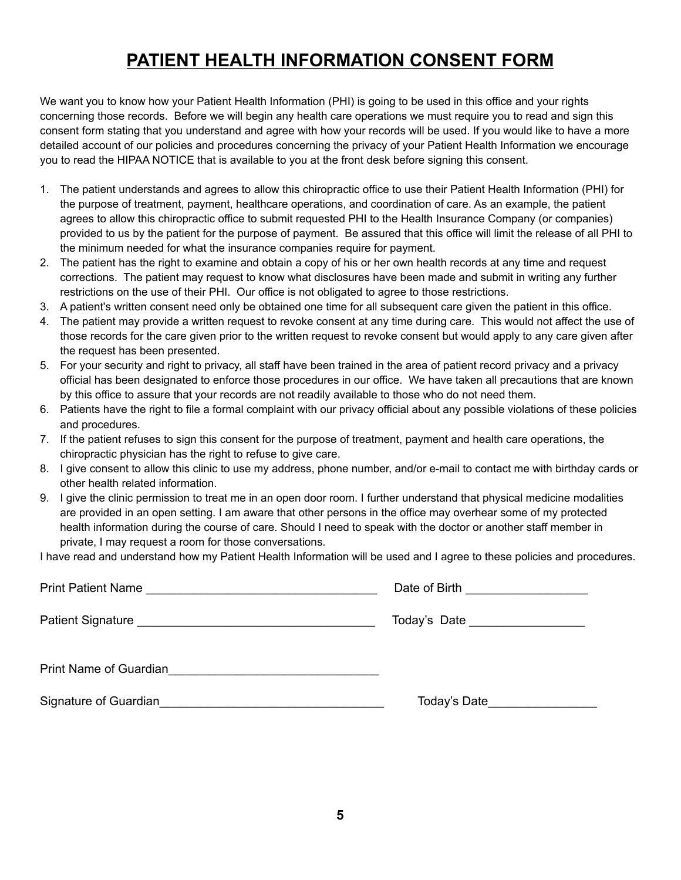## **PATIENT HEALTH INFORMATION CONSENT FORM**

We want you to know how your Patient Health Information (PHI) is going to be used in this office and your rights concerning those records. Before we will begin any health care operations we must require you to read and sign this consent form stating that you understand and agree with how your records will be used. If you would like to have a more detailed account of our policies and procedures concerning the privacy of your Patient Health Information we encourage you to read the HIPAA NOTICE that is available to you at the front desk before signing this consent.

- 1. The patient understands and agrees to allow this chiropractic office to use their Patient Health Information (PHI) for the purpose of treatment, payment, healthcare operations, and coordination of care. As an example, the patient agrees to allow this chiropractic office to submit requested PHI to the Health Insurance Company (or companies) provided to us by the patient for the purpose of payment. Be assured that this office will limit the release of all PHI to the minimum needed for what the insurance companies require for payment.
- 2. The patient has the right to examine and obtain a copy of his or her own health records at any time and request corrections. The patient may request to know what disclosures have been made and submit in writing any further restrictions on the use of their PHI. Our office is not obligated to agree to those restrictions.
- 3. A patient's written consent need only be obtained one time for all subsequent care given the patient in this office.
- 4. The patient may provide a written request to revoke consent at any time during care. This would not affect the use of those records for the care given prior to the written request to revoke consent but would apply to any care given after the request has been presented.
- 5. For your security and right to privacy, all staff have been trained in the area of patient record privacy and a privacy official has been designated to enforce those procedures in our office. We have taken all precautions that are known by this office to assure that your records are not readily available to those who do not need them.
- 6. Patients have the right to file a formal complaint with our privacy official about any possible violations of these policies and procedures.
- 7. If the patient refuses to sign this consent for the purpose of treatment, payment and health care operations, the chiropractic physician has the right to refuse to give care.
- 8. I give consent to allow this clinic to use my address, phone number, and/or e-mail to contact me with birthday cards or other health related information.
- 9. I give the clinic permission to treat me in an open door room. I further understand that physical medicine modalities are provided in an open setting. I am aware that other persons in the office may overhear some of my protected health information during the course of care. Should I need to speak with the doctor or another staff member in private, I may request a room for those conversations.

I have read and understand how my Patient Health Information will be used and I agree to these policies and procedures.

|                                                                                                                                              | Date of Birth ____________________ |
|----------------------------------------------------------------------------------------------------------------------------------------------|------------------------------------|
|                                                                                                                                              | Today's Date ____________________  |
| Print Name of Guardian<br><u>Land Communication</u>                                                                                          |                                    |
| Signature of Guardian<br><u> 1989 - Johann John Stoff, deutscher Stoffen und der Stoffen und der Stoffen und der Stoffen und der Stoffen</u> | Today's Date__________________     |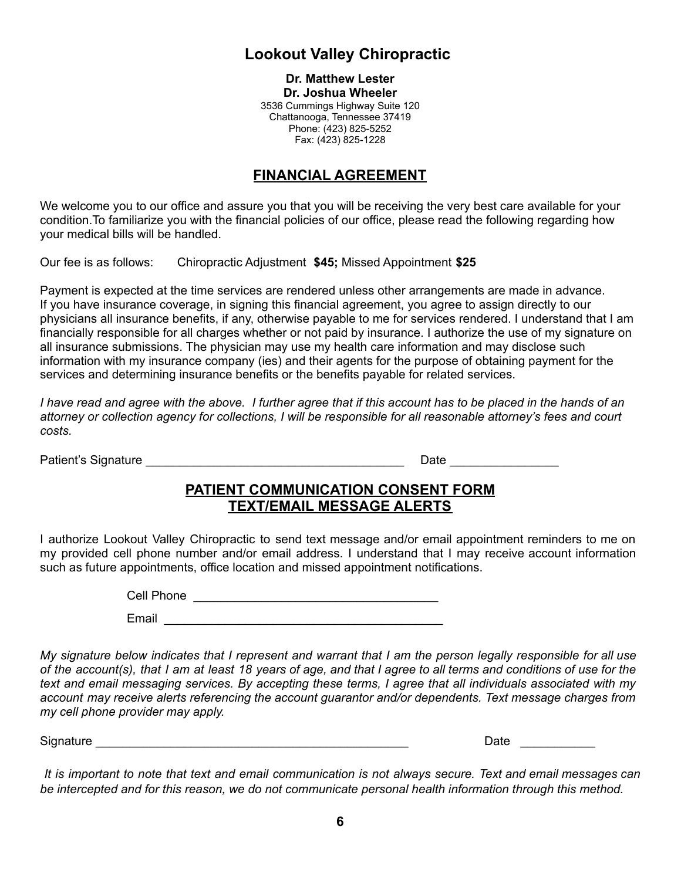### **Lookout Valley Chiropractic**

**Dr. Matthew Lester Dr. Joshua Wheeler** 3536 Cummings Highway Suite 120 Chattanooga, Tennessee 37419 Phone: (423) 825-5252 Fax: (423) 825-1228

#### **FINANCIAL AGREEMENT**

We welcome you to our office and assure you that you will be receiving the very best care available for your condition.To familiarize you with the financial policies of our office, please read the following regarding how your medical bills will be handled.

Our fee is as follows: Chiropractic Adjustment **\$45;** Missed Appointment **\$25**

Payment is expected at the time services are rendered unless other arrangements are made in advance. If you have insurance coverage, in signing this financial agreement, you agree to assign directly to our physicians all insurance benefits, if any, otherwise payable to me for services rendered. I understand that I am financially responsible for all charges whether or not paid by insurance. I authorize the use of my signature on all insurance submissions. The physician may use my health care information and may disclose such information with my insurance company (ies) and their agents for the purpose of obtaining payment for the services and determining insurance benefits or the benefits payable for related services.

I have read and agree with the above. I further agree that if this account has to be placed in the hands of an attorney or collection agency for collections. I will be responsible for all reasonable attorney's fees and court *costs.*

Patient's Signature experience of the state of the Date of the Date of the Date of the Signature of the Signature

#### **PATIENT COMMUNICATION CONSENT FORM TEXT/EMAIL MESSAGE ALERTS**

I authorize Lookout Valley Chiropractic to send text message and/or email appointment reminders to me on my provided cell phone number and/or email address. I understand that I may receive account information such as future appointments, office location and missed appointment notifications.

Cell Phone \_\_\_\_\_\_\_\_\_\_\_\_\_\_\_\_\_\_\_\_\_\_\_\_\_\_\_\_\_\_\_\_\_\_\_\_

Email  $\blacksquare$ 

My signature below indicates that I represent and warrant that I am the person legally responsible for all use of the account(s), that I am at least 18 years of age, and that I agree to all terms and conditions of use for the text and email messaging services. By accepting these terms, I agree that all individuals associated with my *account may receive alerts referencing the account guarantor and/or dependents. Text message charges from my cell phone provider may apply.*

Signature **Example 20** and the set of the set of the set of the set of the set of the set of the set of the set of the set of the set of the set of the set of the set of the set of the set of the set of the set of the set

It is important to note that text and email communication is not always secure. Text and email messages can *be intercepted and for this reason, we do not communicate personal health information through this method.*